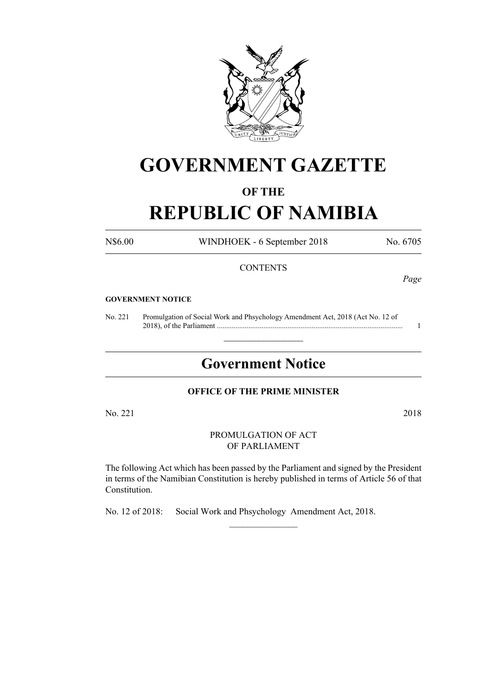

# **GOVERNMENT GAZETTE**

### **OF THE**

## **REPUBLIC OF NAMIBIA**

N\$6.00 WINDHOEK - 6 September 2018 No. 6705

#### **CONTENTS**

*Page*

#### **GOVERNMENT NOTICE**

No. 221 Promulgation of Social Work and Phsychology Amendment Act, 2018 (Act No. 12 of 2018), of the Parliament .................................................................................................... 1

## **Government Notice**

 $\frac{1}{2}$  ,  $\frac{1}{2}$  ,  $\frac{1}{2}$  ,  $\frac{1}{2}$  ,  $\frac{1}{2}$  ,  $\frac{1}{2}$  ,  $\frac{1}{2}$ 

#### **OFFICE OF THE PRIME MINISTER**

No. 221 2018

PROMULGATION OF ACT OF PARLIAMENT

The following Act which has been passed by the Parliament and signed by the President in terms of the Namibian Constitution is hereby published in terms of Article 56 of that Constitution.

 $\frac{1}{2}$ 

No. 12 of 2018: Social Work and Phsychology Amendment Act, 2018.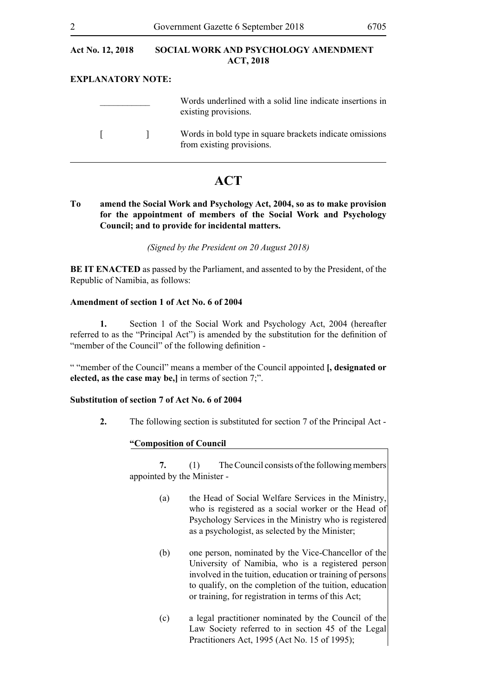#### **EXPLANATORY NOTE:**

|                          | Words underlined with a solid line indicate insertions in<br>existing provisions.     |
|--------------------------|---------------------------------------------------------------------------------------|
| <b>Contract Contract</b> | Words in bold type in square brackets indicate omissions<br>from existing provisions. |

### **ACT**

**To amend the Social Work and Psychology Act, 2004, so as to make provision for the appointment of members of the Social Work and Psychology Council; and to provide for incidental matters.**

*(Signed by the President on 20 August 2018)* 

**BE IT ENACTED** as passed by the Parliament, and assented to by the President, of the Republic of Namibia, as follows:

#### **Amendment of section 1 of Act No. 6 of 2004**

**1.** Section 1 of the Social Work and Psychology Act, 2004 (hereafter referred to as the "Principal Act") is amended by the substitution for the definition of "member of the Council" of the following definition -

" "member of the Council" means a member of the Council appointed **[, designated or elected, as the case may be,]** in terms of section 7;".

#### **Substitution of section 7 of Act No. 6 of 2004**

**2.** The following section is substituted for section 7 of the Principal Act -

#### **"Composition of Council**

**7.** (1) The Council consists of the following members appointed by the Minister -

- (a) the Head of Social Welfare Services in the Ministry, who is registered as a social worker or the Head of Psychology Services in the Ministry who is registered as a psychologist, as selected by the Minister;
- (b) one person, nominated by the Vice-Chancellor of the University of Namibia, who is a registered person involved in the tuition, education or training of persons to qualify, on the completion of the tuition, education or training, for registration in terms of this Act;
- (c) a legal practitioner nominated by the Council of the Law Society referred to in section 45 of the Legal Practitioners Act, 1995 (Act No. 15 of 1995);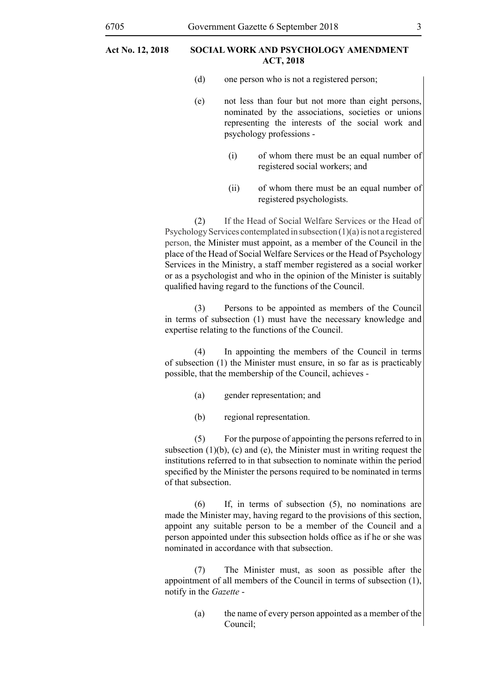- (d) one person who is not a registered person;
- (e) not less than four but not more than eight persons, nominated by the associations, societies or unions representing the interests of the social work and psychology professions -
	- (i) of whom there must be an equal number of registered social workers; and
	- (ii) of whom there must be an equal number of registered psychologists.

(2) If the Head of Social Welfare Services or the Head of PsychologyServices contemplated in subsection (1)(a) is not a registered person, the Minister must appoint, as a member of the Council in the place of the Head of Social Welfare Services or the Head of Psychology Services in the Ministry, a staff member registered as a social worker or as a psychologist and who in the opinion of the Minister is suitably qualified having regard to the functions of the Council.

(3) Persons to be appointed as members of the Council in terms of subsection (1) must have the necessary knowledge and expertise relating to the functions of the Council.

(4) In appointing the members of the Council in terms of subsection (1) the Minister must ensure, in so far as is practicably possible, that the membership of the Council, achieves -

- (a) gender representation; and
- (b) regional representation.

(5) For the purpose of appointing the persons referred to in subsection  $(1)(b)$ ,  $(c)$  and  $(e)$ , the Minister must in writing request the institutions referred to in that subsection to nominate within the period specified by the Minister the persons required to be nominated in terms of that subsection.

(6) If, in terms of subsection (5), no nominations are made the Minister may, having regard to the provisions of this section, appoint any suitable person to be a member of the Council and a person appointed under this subsection holds office as if he or she was nominated in accordance with that subsection.

(7) The Minister must, as soon as possible after the appointment of all members of the Council in terms of subsection (1), notify in the *Gazette* -

> (a) the name of every person appointed as a member of the Council;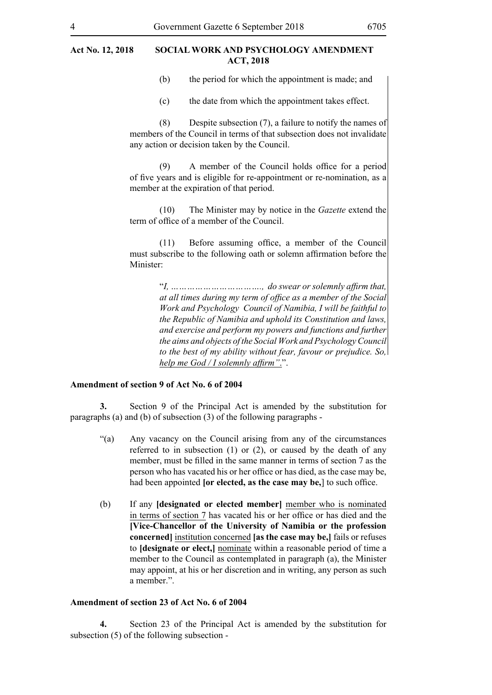(b) the period for which the appointment is made; and

(c) the date from which the appointment takes effect.

(8) Despite subsection (7), a failure to notify the names of members of the Council in terms of that subsection does not invalidate any action or decision taken by the Council.

(9) A member of the Council holds office for a period of five years and is eligible for re-appointment or re-nomination, as a member at the expiration of that period.

(10) The Minister may by notice in the *Gazette* extend the term of office of a member of the Council.

(11) Before assuming office, a member of the Council must subscribe to the following oath or solemn affirmation before the Minister:

> "*I, ……………………………., do swear or solemnly affirm that, at all times during my term of office as a member of the Social Work and Psychology Council of Namibia, I will be faithful to the Republic of Namibia and uphold its Constitution and laws, and exercise and perform my powers and functions and further the aims and objects of the Social Work and PsychologyCouncil to the best of my ability without fear, favour or prejudice. So, help me God / I solemnly affirm"*.".

#### **Amendment of section 9 of Act No. 6 of 2004**

**3.** Section 9 of the Principal Act is amended by the substitution for paragraphs (a) and (b) of subsection (3) of the following paragraphs -

- "(a) Any vacancy on the Council arising from any of the circumstances referred to in subsection (1) or (2), or caused by the death of any member, must be filled in the same manner in terms of section 7 as the person who has vacated his or her office or has died, as the case may be, had been appointed **[or elected, as the case may be,**] to such office.
- (b) If any **[designated or elected member]** member who is nominated in terms of section 7 has vacated his or her office or has died and the **[Vice-Chancellor of the University of Namibia or the profession concerned]** institution concerned **[as the case may be,]** fails or refuses to **[designate or elect,]** nominate within a reasonable period of time a member to the Council as contemplated in paragraph (a), the Minister may appoint, at his or her discretion and in writing, any person as such a member.".

#### **Amendment of section 23 of Act No. 6 of 2004**

**4.** Section 23 of the Principal Act is amended by the substitution for subsection (5) of the following subsection -